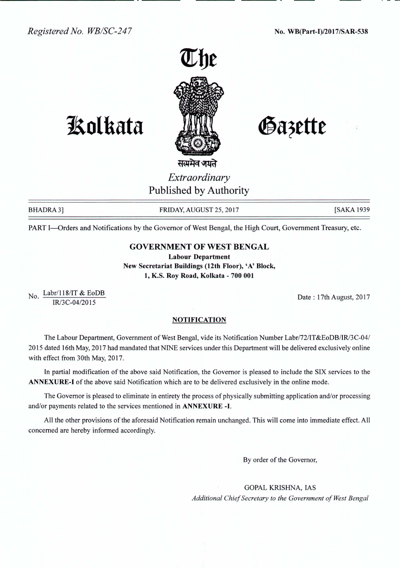

# **lSo1kata**

Gazette

## सत्यमेव जयते *Extraordinary* Published by Authority

BHADRA 3] FRIDAY, AUGUST 25, 2017 [SAKA 1939

PART I-Orders and Notifications by the Governor of West Bengal, the High Court, Government Treasury, etc.

### GOVERNMENT OF WEST BENGAL

Labour Department New Secretariat Buildings (12th Floor), 'A' Block, 1, K.S. Roy Road, Kolkata - 700 001

No. Labr/118/IT & EoDB IR/3C-04/2015

Date: 17th August, 2017

#### **NOTIFICATION**

The Labour Department, Government of West Bengal, vide its Notification Number Labr/72/IT&EoDB/IR/3C-04/ 2015 dated 16th May, 2017 had mandated that NINE services under this Department will be delivered exclusively online with effect from 30th May, 2017.

In partial modification of the above said Notification, the Governor is pleased to include the SIX services to the ANNEXURE-I of the above said Notification which are to be delivered exclusively in the online mode.

The Governor is pleased to eliminate in entirety the process of physically submitting application and/or processing and/or payments related to the services mentioned in ANNEXURE -I.

All the other provisions of the aforesaid Notification remain unchanged. This will come into immediate effect. All concerned are hereby informed accordingly.

By order of the Governor,

GOPAL KRISHNA, lAS *Additional Chief Secretary to the Government of West Bengal*